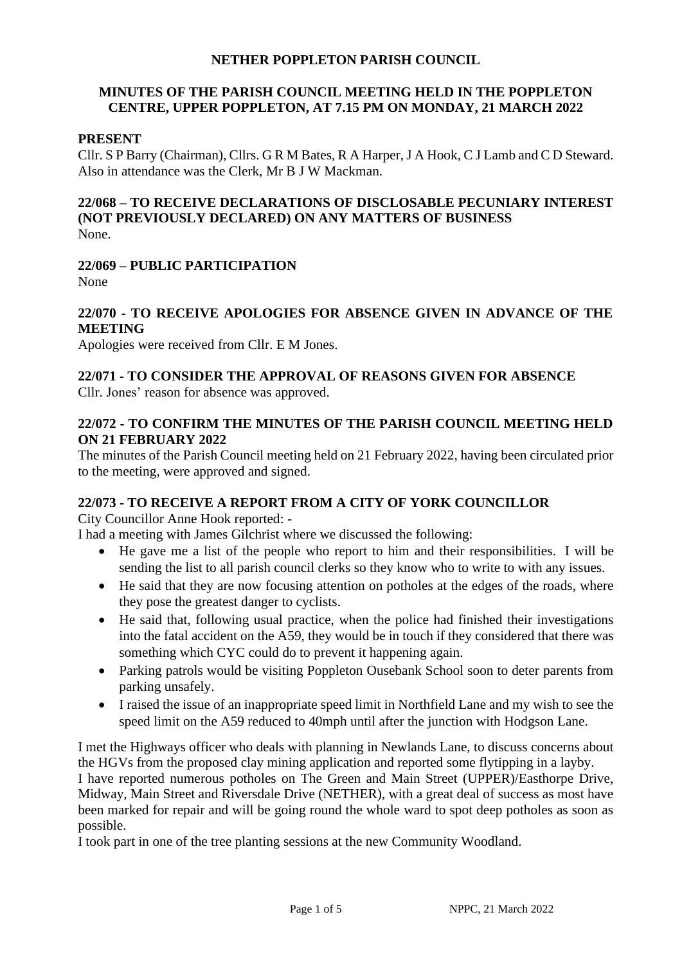#### **NETHER POPPLETON PARISH COUNCIL**

# **MINUTES OF THE PARISH COUNCIL MEETING HELD IN THE POPPLETON CENTRE, UPPER POPPLETON, AT 7.15 PM ON MONDAY, 21 MARCH 2022**

#### **PRESENT**

Cllr. S P Barry (Chairman), Cllrs. G R M Bates, R A Harper, J A Hook, C J Lamb and C D Steward. Also in attendance was the Clerk, Mr B J W Mackman.

# **22/068 – TO RECEIVE DECLARATIONS OF DISCLOSABLE PECUNIARY INTEREST (NOT PREVIOUSLY DECLARED) ON ANY MATTERS OF BUSINESS**

None.

# **22/069 – PUBLIC PARTICIPATION**

None

#### **22/070 - TO RECEIVE APOLOGIES FOR ABSENCE GIVEN IN ADVANCE OF THE MEETING**

Apologies were received from Cllr. E M Jones.

# **22/071 - TO CONSIDER THE APPROVAL OF REASONS GIVEN FOR ABSENCE**

Cllr. Jones' reason for absence was approved.

# **22/072 - TO CONFIRM THE MINUTES OF THE PARISH COUNCIL MEETING HELD ON 21 FEBRUARY 2022**

The minutes of the Parish Council meeting held on 21 February 2022, having been circulated prior to the meeting, were approved and signed.

# **22/073 - TO RECEIVE A REPORT FROM A CITY OF YORK COUNCILLOR**

City Councillor Anne Hook reported: -

I had a meeting with James Gilchrist where we discussed the following:

- He gave me a list of the people who report to him and their responsibilities. I will be sending the list to all parish council clerks so they know who to write to with any issues.
- He said that they are now focusing attention on potholes at the edges of the roads, where they pose the greatest danger to cyclists.
- He said that, following usual practice, when the police had finished their investigations into the fatal accident on the A59, they would be in touch if they considered that there was something which CYC could do to prevent it happening again.
- Parking patrols would be visiting Poppleton Ousebank School soon to deter parents from parking unsafely.
- I raised the issue of an inappropriate speed limit in Northfield Lane and my wish to see the speed limit on the A59 reduced to 40mph until after the junction with Hodgson Lane.

I met the Highways officer who deals with planning in Newlands Lane, to discuss concerns about the HGVs from the proposed clay mining application and reported some flytipping in a layby. I have reported numerous potholes on The Green and Main Street (UPPER)/Easthorpe Drive, Midway, Main Street and Riversdale Drive (NETHER), with a great deal of success as most have been marked for repair and will be going round the whole ward to spot deep potholes as soon as possible.

I took part in one of the tree planting sessions at the new Community Woodland.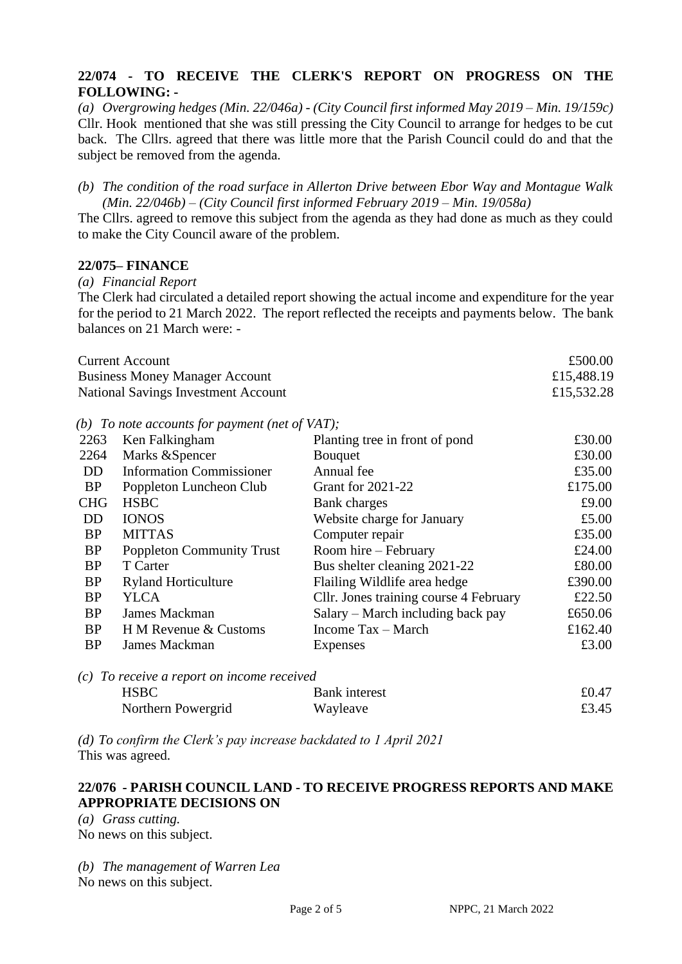#### **22/074 - TO RECEIVE THE CLERK'S REPORT ON PROGRESS ON THE FOLLOWING: -**

*(a) Overgrowing hedges (Min. 22/046a) - (City Council first informed May 2019 – Min. 19/159c)* Cllr. Hook mentioned that she was still pressing the City Council to arrange for hedges to be cut back. The Cllrs. agreed that there was little more that the Parish Council could do and that the subject be removed from the agenda.

*(b) The condition of the road surface in Allerton Drive between Ebor Way and Montague Walk (Min. 22/046b) – (City Council first informed February 2019 – Min. 19/058a)*

The Cllrs. agreed to remove this subject from the agenda as they had done as much as they could to make the City Council aware of the problem.

#### **22/075– FINANCE**

*(a) Financial Report*

The Clerk had circulated a detailed report showing the actual income and expenditure for the year for the period to 21 March 2022. The report reflected the receipts and payments below. The bank balances on 21 March were: -

| <b>Current Account</b>                | £500.00    |
|---------------------------------------|------------|
| <b>Business Money Manager Account</b> | £15,488.19 |
| National Savings Investment Account   | £15,532.28 |

*(b) To note accounts for payment (net of VAT);*

| 2263       | Ken Falkingham                               | Planting tree in front of pond         | £30.00  |
|------------|----------------------------------------------|----------------------------------------|---------|
| 2264       | Marks & Spencer                              | <b>B</b> ouquet                        | £30.00  |
| <b>DD</b>  | <b>Information Commissioner</b>              | Annual fee                             | £35.00  |
| <b>BP</b>  | Poppleton Luncheon Club                      | <b>Grant for 2021-22</b>               | £175.00 |
| <b>CHG</b> | <b>HSBC</b>                                  | Bank charges                           | £9.00   |
| <b>DD</b>  | <b>IONOS</b>                                 | Website charge for January             | £5.00   |
| <b>BP</b>  | <b>MITTAS</b>                                | Computer repair                        | £35.00  |
| <b>BP</b>  | <b>Poppleton Community Trust</b>             | Room hire – February                   | £24.00  |
| <b>BP</b>  | T Carter                                     | Bus shelter cleaning 2021-22           | £80.00  |
| <b>BP</b>  | <b>Ryland Horticulture</b>                   | Flailing Wildlife area hedge           | £390.00 |
| <b>BP</b>  | <b>YLCA</b>                                  | Cllr. Jones training course 4 February | £22.50  |
| <b>BP</b>  | James Mackman                                | Salary – March including back pay      | £650.06 |
| <b>BP</b>  | H M Revenue & Customs                        | Income Tax - March                     | £162.40 |
| <b>BP</b>  | James Mackman                                | Expenses                               | £3.00   |
|            |                                              |                                        |         |
|            | $(c)$ To receive a report on income received |                                        |         |

| $\mathcal{L}$ . To receive a report on meome received |                      |       |
|-------------------------------------------------------|----------------------|-------|
| <b>HSBC</b>                                           | <b>Bank</b> interest | £0.47 |
| Northern Powergrid                                    | Wayleave             | £3.45 |

*(d) To confirm the Clerk's pay increase backdated to 1 April 2021* This was agreed.

# **22/076 - PARISH COUNCIL LAND - TO RECEIVE PROGRESS REPORTS AND MAKE APPROPRIATE DECISIONS ON**

*(a) Grass cutting.* 

No news on this subject.

*(b) The management of Warren Lea*  No news on this subject.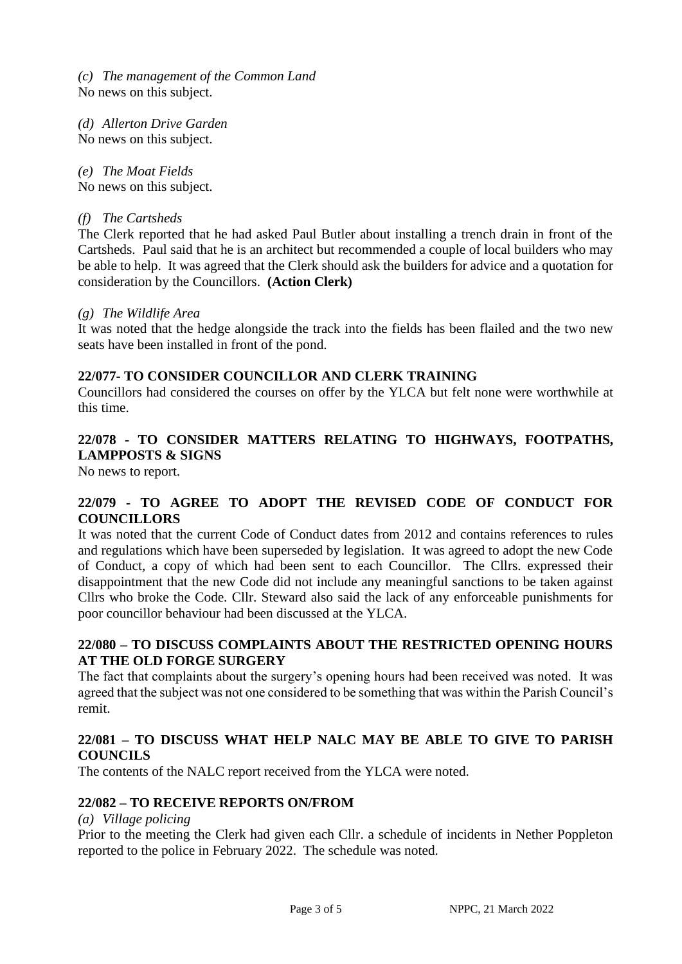*(c) The management of the Common Land*  No news on this subject.

*(d) Allerton Drive Garden*  No news on this subject.

*(e) The Moat Fields*  No news on this subject.

#### *(f) The Cartsheds*

The Clerk reported that he had asked Paul Butler about installing a trench drain in front of the Cartsheds. Paul said that he is an architect but recommended a couple of local builders who may be able to help. It was agreed that the Clerk should ask the builders for advice and a quotation for consideration by the Councillors. **(Action Clerk)**

#### *(g) The Wildlife Area*

It was noted that the hedge alongside the track into the fields has been flailed and the two new seats have been installed in front of the pond.

#### **22/077- TO CONSIDER COUNCILLOR AND CLERK TRAINING**

Councillors had considered the courses on offer by the YLCA but felt none were worthwhile at this time.

# **22/078 - TO CONSIDER MATTERS RELATING TO HIGHWAYS, FOOTPATHS, LAMPPOSTS & SIGNS**

No news to report.

#### **22/079 - TO AGREE TO ADOPT THE REVISED CODE OF CONDUCT FOR COUNCILLORS**

It was noted that the current Code of Conduct dates from 2012 and contains references to rules and regulations which have been superseded by legislation. It was agreed to adopt the new Code of Conduct, a copy of which had been sent to each Councillor. The Cllrs. expressed their disappointment that the new Code did not include any meaningful sanctions to be taken against Cllrs who broke the Code. Cllr. Steward also said the lack of any enforceable punishments for poor councillor behaviour had been discussed at the YLCA.

#### **22/080 – TO DISCUSS COMPLAINTS ABOUT THE RESTRICTED OPENING HOURS AT THE OLD FORGE SURGERY**

The fact that complaints about the surgery's opening hours had been received was noted. It was agreed that the subject was not one considered to be something that was within the Parish Council's remit.

# **22/081 – TO DISCUSS WHAT HELP NALC MAY BE ABLE TO GIVE TO PARISH COUNCILS**

The contents of the NALC report received from the YLCA were noted.

# **22/082 – TO RECEIVE REPORTS ON/FROM**

#### *(a) Village policing*

Prior to the meeting the Clerk had given each Cllr. a schedule of incidents in Nether Poppleton reported to the police in February 2022. The schedule was noted.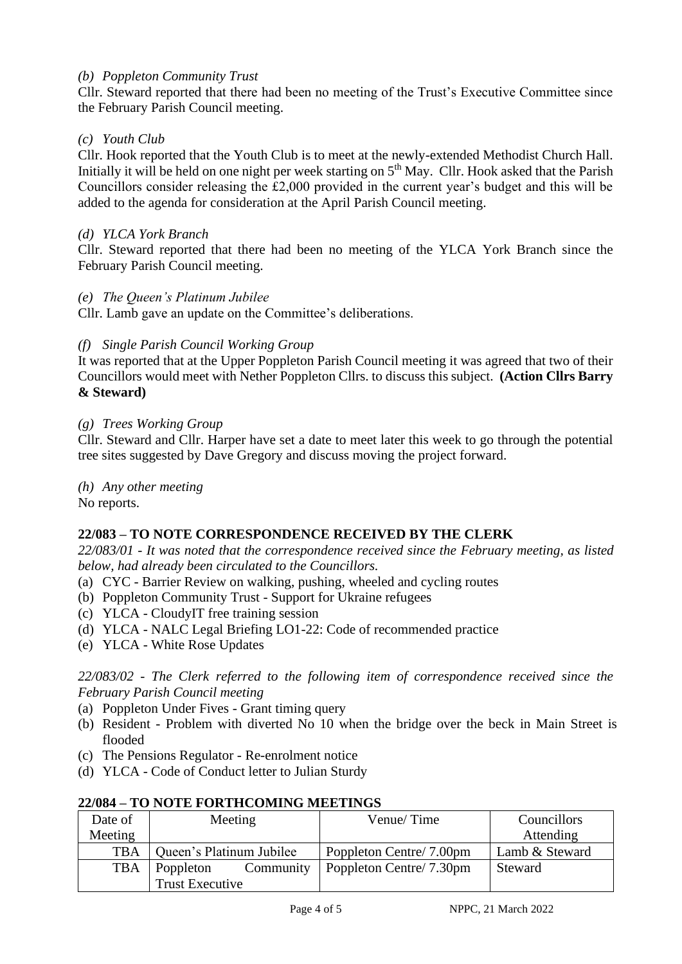# *(b) Poppleton Community Trust*

Cllr. Steward reported that there had been no meeting of the Trust's Executive Committee since the February Parish Council meeting.

# *(c) Youth Club*

Cllr. Hook reported that the Youth Club is to meet at the newly-extended Methodist Church Hall. Initially it will be held on one night per week starting on 5<sup>th</sup> May. Cllr. Hook asked that the Parish Councillors consider releasing the £2,000 provided in the current year's budget and this will be added to the agenda for consideration at the April Parish Council meeting.

# *(d) YLCA York Branch*

Cllr. Steward reported that there had been no meeting of the YLCA York Branch since the February Parish Council meeting.

# *(e) The Queen's Platinum Jubilee*

Cllr. Lamb gave an update on the Committee's deliberations.

# *(f) Single Parish Council Working Group*

It was reported that at the Upper Poppleton Parish Council meeting it was agreed that two of their Councillors would meet with Nether Poppleton Cllrs. to discuss this subject. **(Action Cllrs Barry & Steward)** 

# *(g) Trees Working Group*

Cllr. Steward and Cllr. Harper have set a date to meet later this week to go through the potential tree sites suggested by Dave Gregory and discuss moving the project forward.

*(h) Any other meeting*

No reports.

# **22/083 – TO NOTE CORRESPONDENCE RECEIVED BY THE CLERK**

*22/083/01 - It was noted that the correspondence received since the February meeting, as listed below, had already been circulated to the Councillors.*

- (a) CYC Barrier Review on walking, pushing, wheeled and cycling routes
- (b) Poppleton Community Trust Support for Ukraine refugees
- (c) YLCA CloudyIT free training session
- (d) YLCA NALC Legal Briefing LO1-22: Code of recommended practice
- (e) YLCA White Rose Updates

*22/083/02 - The Clerk referred to the following item of correspondence received since the February Parish Council meeting*

- (a) Poppleton Under Fives Grant timing query
- (b) Resident Problem with diverted No 10 when the bridge over the beck in Main Street is flooded
- (c) The Pensions Regulator Re-enrolment notice
- (d) YLCA Code of Conduct letter to Julian Sturdy

| Date of    | Meeting                  | Venue/Time               | Councillors    |
|------------|--------------------------|--------------------------|----------------|
| Meeting    |                          |                          | Attending      |
| <b>TBA</b> | Queen's Platinum Jubilee | Poppleton Centre/ 7.00pm | Lamb & Steward |
| <b>TBA</b> | Community<br>Poppleton   | Poppleton Centre/ 7.30pm | Steward        |
|            | Trust Executive          |                          |                |

#### **22/084 – TO NOTE FORTHCOMING MEETINGS**